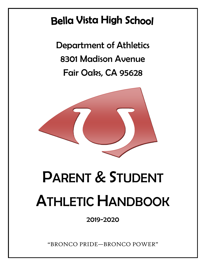### **Bella Vista High School**

Department of Athletics 8301 Madison Avenue Fair Oaks, CA 95628



# PARENT & STUDENT ATHLETIC HANDBOOK

2019-2020

"BRONCO PRIDE—BRONCO POWER"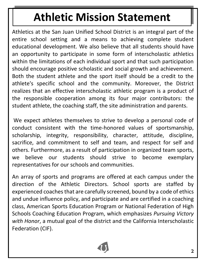## **Athletic Mission Statement**

Athletics at the San Juan Unified School District is an integral part of the entire school setting and a means to achieving complete student educational development. We also believe that all students should have an opportunity to participate in some form of interscholastic athletics within the limitations of each individual sport and that such participation should encourage positive scholastic and social growth and achievement. Both the student athlete and the sport itself should be a credit to the athlete's specific school and the community. Moreover, the District realizes that an effective interscholastic athletic program is a product of the responsible cooperation among its four major contributors: the student athlete, the coaching staff, the site administration and parents.

We expect athletes themselves to strive to develop a personal code of conduct consistent with the time-honored values of sportsmanship, scholarship, integrity, responsibility, character, attitude, discipline, sacrifice, and commitment to self and team, and respect for self and others. Furthermore, as a result of participation in organized team sports, we believe our students should strive to become exemplary representatives for our schools and communities.

An array of sports and programs are offered at each campus under the direction of the Athletic Directors. School sports are staffed by experienced coaches that are carefully screened, bound by a code of ethics and undue influence policy, and participate and are certified in a coaching class, American Sports Education Program or National Federation of High Schools Coaching Education Program, which emphasizes *Pursuing Victory with Honor*, a mutual goal of the district and the [California Interscholastic](http://www.cifstate.org/)  [Federation \(CIF\).](http://www.cifstate.org/)

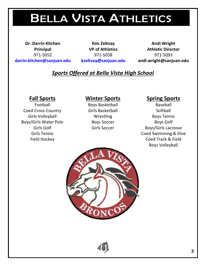## BELLA VISTA ATHLETICS

**Dr. Darrin Kitchen Kim Zeltvay Andi Wright [darrin.kitchen@sanjuan.edu](mailto:darrin.kitchen@sanjuan.edu) [kzeltvay@sanjuan.edu](mailto:kzeltvay@sanjuan.edu) andi.wright@sanjuan.edu**

**Principal VP of Athletics Athletic Director** 971-5052 971-5058 971-5093

### *Sports Offered at Bella Vista High School*

Coed Cross-Country **Girls Basketball** Softball Girls Volleyball **South Accord Wrestling Boys Tennis** Boys/Girls Water Polo Boys Soccer Boys Soccer Boys Golf

### **Fall Sports Winter Sports Spring Sports**

Football Boys Basketball Baseball

Girls Golf **Girls Soccer** Girls Soccer **Boys/Girls Lacrosse** Girls Tennis Coed Swimming & Dive Field Hockey Coed Track & Field Boys Volleyball

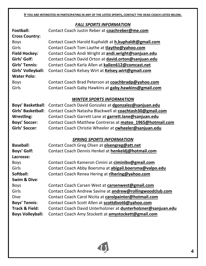**IF YOU ARE INTERESTED IN PARTICIPATING IN ANY OF THE LISTED SPORTS, CONTACT THE HEAD COACH LISTED BELOW.**

#### *FALL SPORTS INFORMATION*

|                           | <u>FALL JFUNTJ IIVFUNIVIATIUIV</u>                            |
|---------------------------|---------------------------------------------------------------|
| Football:                 | Contact Coach Justin Reber at coachreber@me.com               |
| <b>Cross Country:</b>     |                                                               |
| <b>Boys</b>               | Contact Coach Harold Kuphaldt at h.kuphaldt@gmail.com         |
| Girls                     | Contact Coach Tom Laythe at tlaythe@yahoo.com                 |
| <b>Field Hockey:</b>      | Contact Coach Andi Wright at andi.wright@sanjuan.edu          |
| Girls' Golf:              | Contact Coach David Orton at david.orton@sanjuan.edu          |
| <b>Girls' Tennis:</b>     | Contact Coach Karla Allen at kallen612@comcast.net            |
| Girls' Volleyball:        | Contact Coach Kelsey Wirt at Kelsey.wirt@gmail.com            |
| <b>Water Polo:</b>        |                                                               |
| <b>Boys</b>               | Contact Coach Brad Peterson at coachbradp@yahoo.com           |
| Girls                     | Contact Coach Gaby Hawkins at gaby.hawkins@gmail.com          |
|                           |                                                               |
|                           | <b>WINTER SPORTS INFORMATION</b>                              |
| <b>Boys' Basketball:</b>  | Contact Coach David Gonzalez at dgonzalez@sanjuan.edu         |
| <b>Girls' Basketball:</b> | Contact Coach Natasha Blackwell at coachtash30@gmail.com      |
| <b>Wrestling:</b>         | Contact Coach Garrett Lane at garrett.lane@sanjuan.edu        |
| <b>Boys' Soccer:</b>      | Contact Coach Matthew Contreras at mateo_1965@hotmail.com     |
| Girls' Soccer:            | Contact Coach Christie Wheeler at cwheeler@sanjuan.edu        |
|                           |                                                               |
|                           | <b>SPRING SPORTS INFORMATION</b>                              |
| <b>Baseball:</b>          | Contact Coach Greg Olsen at <b>olsengreg@att.net</b>          |
| <b>Boys' Golf:</b>        | Contact Coach Dennis Henkel at henkeldj@hotmail.com           |
| Lacrosse:                 |                                                               |
| <b>Boys</b>               | Contact Coach Kameron Cimini at ciminibv@gmail.com            |
| Girls                     | Contact Coach Abby Boersma at abigail.boersma@valpo.edu       |
| Softball:                 | Contact Coach Renea Hering at rihering@yahoo.com              |
| Swim & Dive:              |                                                               |
| <b>Boys</b>               | Contact Coach Carsen West at carsenwest@gmail.com             |
| Girls                     | Contact Coach Andrew Savine at andrew@rollingwoodclub.com     |
| <b>Dive</b>               | Contact Coach Carol Nicita at carolpainter@hotmail.com        |
| <b>Boys' Tennis:</b>      | Contact Coach Scott Allen at scottdivot6@yahoo.com            |
| <b>Track &amp; Field:</b> | Contact Coach David Unterholzner at dunterholzner@sanjuan.edu |
| <b>Boys Volleyball:</b>   | Contact Coach Amy Stockett at amystockett@gmail.com           |

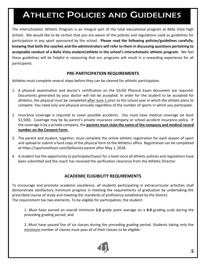### ATHLETIC POLICIES AND GUIDELINES

The Interscholastic Athletic Program is an integral part of the total educational program at Bella Vista High School. We would like to be certain that you are aware of the policies and regulations used as guidelines for participation in any sport sponsored by the school. **Please read the following policies/guidelines carefully, knowing that both the coaches and the administrators will refer to them in discussing questions pertaining to acceptable conduct of a Bella Vista student/athlete in the school's interscholastic athletic program.** We feel these guidelines will be helpful in reassuring that our programs will result in a rewarding experience for all participants.

#### **PRE-PARTICIPATION REQUIREMENTS**

Athletes must complete several steps before they can be cleared for athletic participation.

- 1. A physical examination and doctor's certification on the SJUSD Physical Exam document are required. Documents generated by your doctor will not be accepted. In order for the student to be accepted for athletics, the physical must be completed after June 1 prior to the school year in which the athlete plans to compete. You need only one physical annually regardless of the number of sports in which you participate.
- 2. Insurance coverage is required to cover possible accidents. You must have medical coverage (at least \$1,500). Coverage may be by parent's private insurance company or school accident insurance policy. If the coverage is by a private company, the **parents must state the name of the company and medical record number on the Consent Form**.
- 3. The parent and student, together, must complete the online athletic registration for each season of sport and upload or submit a hard copy of the physical form to the Athletics office. Registration can be completed at [https://sportsnethost.com/bellavista-parent](http://www.familyid.com/bella-vista-high-school%20after%20May%201) after May 1, 2018.
- 4. A student has the opportunity to participate/tryout for a team once all athletic policies and regulations have been submitted and the coach has received the verification clearance from the Athletic Director.

#### **ACADEMIC ELIGIBILITY REQUIREMENTS**

To encourage and promote academic excellence, all students participating in extracurricular activities shall demonstrate satisfactory minimum progress in meeting the requirements of graduation by undertaking the prescribed course of study and meeting the standards of proficiency established by the District. The requirement has two elements. To be eligible for participation, the student:

1. Must have earned an overall minimum **2.0** grade point average on a **4.0** grading scale during the preceding grading period; and

2. Must have passed five of six classes during the preceding grading period. Students taking only the minimum number of classes must pass all of their classes to be eligible.

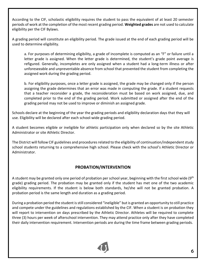According to the CIF, scholastic eligibility requires the student to pass the equivalent of at least 20 semester periods of work at the completion of the most recent grading period. **Weighted grades** are not used to calculate eligibility per the CIF Bylaws.

A grading period will constitute an eligibility period. The grade issued at the end of each grading period will be used to determine eligibility.

a. For purposes of determining eligibility, a grade of incomplete is computed as an "F" or failure until a letter grade is assigned. When the letter grade is determined, the student's grade point average is refigured. Generally, incompletes are only assigned when a student had a long-term illness or after unforeseeable and unpreventable absence from school that prevented the student from completing the assigned work during the grading period.

b. For eligibility purposes, once a letter grade is assigned, the grade may be changed only if the person assigning the grade determines that an error was made in computing the grade. If a student requests that a teacher reconsider a grade, the reconsideration must be based on work assigned, due, and completed prior to the end of the grading period. Work submitted or assigned after the end of the grading period may not be used to improve or diminish an assigned grade.

Schools declare at the beginning of the year the grading periods and eligibility declaration days that they will use. Eligibility will be declared after each school-wide grading period.

A student becomes eligible or ineligible for athletic participation only when declared so by the site Athletic Administrator or site Athletic Director.

The District will follow CIF guidelines and procedures related to the eligibility of continuation/independent study school students returning to a comprehensive high school. Please check with the school's Athletic Director or Administrator.

#### **PROBATION/INTERVENTION**

A student may be granted only one period of probation per school year, beginning with the first school wide (9th grade) grading period. The probation may be granted only if the student has met one of the two academic eligibility requirements. If the student is below both standards, he/she will not be granted probation. A probation period is the same length and duration as a grading period.

During a probation period the student is still considered "ineligible" but is granted an opportunity to still practice and compete under the guidelines and regulations established by the CIF. When a student is on probation they will report to intervention on days prescribed by the Athletic Director. Athletes will be required to complete three (3) hours per week of afterschool intervention. They may attend practice only after they have completed their daily intervention requirement. Intervention periods are during the time frame between grading periods.

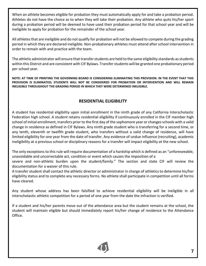When an athlete becomes eligible for probation they must automatically apply for and take a probation period. Athletes do not have the choice as to when they will take their probation. Any athlete who quits his/her sport during a probation period will be deemed to have used their probation period for that school year and will be ineligible to apply for probation for the remainder of the school year.

All athletes that are ineligible and do not qualify for probation will not be allowed to compete during the grading period in which they are declared ineligible. Non-probationary athletes must attend after school intervention in order to remain with and practice with the team.

The athletic administrator will ensure that transfer students are held to the same eligibility standards as students within this District and are consistent with CIF Bylaws. Transfer students will be granted one probationary period per school year.

**NOTE: AT TIME OF PRINTING THE GOVERNING BOARD IS CONSIDERING ELIMINATING THIS PROVISION. IN THE EVENT THAT THIS PROVISION IS ELIMINATED; STUDENTS WILL NOT BE CONSIDERED FOR PROBATION OR INTERVENTION AND WILL REMAIN INELIGIBLE THROUGHOUT THE GRADING PERIOD IN WHICH THEY WERE DETERMINED INELIGIBLE.** 

#### **RESIDENTIAL ELIGIBILITY**

A student has residential eligibility upon initial enrollment in the ninth grade of any California Interscholastic Federation high school. A student retains residential eligibility if continuously enrolled in the CIF member high school of initial enrollment, transfers prior to the first day of the sophomore year or changes schools with a valid change in residence as defined in CIF Bylaws. Any ninth grade student who is transferring for a second time, or any tenth, eleventh or twelfth grade student, who transfers without a valid change of residence, will have limited eligibility for one year from the date of transfer. Any evidence of undue influence (recruiting), academic ineligibility at a previous school or disciplinary reasons for a transfer will impact eligibility at the new school.

The only exceptions to this rule will require documentation of a hardship which is defined as an "unforeseeable, unavoidable and uncorrectable act, condition or event which causes the imposition of a

severe and non-athletic burden upon the student/family." The section and state CIF will review the documentation for a waiver of this rule.

A transfer student shall contact the athletic director or administrator in charge of athletics to determine his/her eligibility status and to complete any necessary forms. No athlete shall participate in competition until all forms have cleared.

Any student whose address has been falsified to achieve residential eligibility will be ineligible in all interscholastic athletic competition for a period of one year from the date the infraction is verified.

If a student and his/her parents move out of the attendance area but the student remains at the school, the student will maintain eligible but should immediately report his/her change of residence to the Attendance Office.

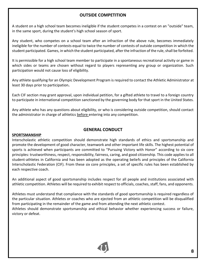#### **OUTSIDE COMPETITION**

A student on a high school team becomes ineligible if the student competes in a contest on an "outside" team, in the same sport, during the student's high school season of sport.

Any student, who competes on a school team after an infraction of the above rule, becomes immediately ineligible for the number of contests equal to twice the number of contests of outside competition in which the student participated. Games, in which the student participated, after the infraction of the rule, shall be forfeited.

It is permissible for a high school team member to participate in a spontaneous recreational activity or game in which sides or teams are chosen without regard to players representing any group or organization. Such participation would not cause loss of eligibility.

Any athlete qualifying for an Olympic Development Program is required to contact the Athletic Administrator at least 30 days prior to participation**.** 

Each CIF section may grant approval, upon individual petition, for a gifted athlete to travel to a foreign country to participate in international competition sanctioned by the governing body for that sport in the United States.

Any athlete who has any questions about eligibility, or who is considering outside competition, should contact the administrator in charge of athletics before entering into any competition.

#### **GENERAL CONDUCT**

#### **SPORTSMANSHIP**

Interscholastic athletic competition should demonstrate high standards of ethics and sportsmanship and promote the development of good character, teamwork and other important life skills. The highest potential of sports is achieved when participants are committed to "Pursuing Victory with Honor" according to six core principles: trustworthiness, respect, responsibility, fairness, caring, and good citizenship. This code applies to all student-athletes in California and has been adopted as the operating beliefs and principles of the California Interscholastic Federation (CIF). From these six core principles, a set of specific rules has been established by each respective coach.

An additional aspect of good sportsmanship includes respect for all people and institutions associated with athletic competition. Athletes will be required to exhibit respect to officials, coaches, staff, fans, and opponents.

Athletes must understand that compliance with the standards of good sportsmanship is required regardless of the particular situation. Athletes or coaches who are ejected from an athletic competition will be disqualified from participating in the remainder of the game and from attending the next athletic contest.

Athletes should demonstrate sportsmanship and ethical behavior whether experiencing success or failure, victory or defeat.

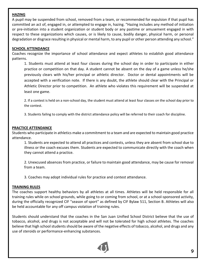#### **HAZING**

A pupil may be suspended from school, removed from a team, or recommended for expulsion if that pupil has committed an act of, engaged in, or attempted to engage in, hazing. "Hazing includes any method of initiation or pre-initiation into a student organization or student body or any pastime or amusement engaged in with respect to these organizations which causes, or is likely to cause, bodily danger, physical harm, or personal degradation or disgrace resulting in physical or mental harm, to any pupil or other person attending any school."

#### **SCHOOL ATTENDANCE**

Coaches recognize the importance of school attendance and expect athletes to establish good attendance patterns.

1. Students must attend at least four classes during the school day in order to participate in either practice or competition on that day. A student cannot be absent on the day of a game unless he/she previously clears with his/her principal or athletic director. Doctor or dental appointments will be accepted with a verification note. If there is any doubt, the athlete should clear with the Principal or Athletic Director prior to competition. An athlete who violates this requirement will be suspended at least one game.

2. If a contest is held on a non-school day, the student must attend at least four classes on the school day prior to the contest.

3. Students failing to comply with the district attendance policy will be referred to their coach for discipline.

#### **PRACTICE ATTENDANCE**

Students who participate in athletics make a commitment to a team and are expected to maintain good practice attendance.

1. Students are expected to attend all practices and contests, unless they are absent from school due to illness or the coach excuses them. Students are expected to communicate directly with the coach when they cannot attend a practice.

2. Unexcused absences from practice, or failure to maintain good attendance, may be cause for removal from a team.

3. Coaches may adopt individual rules for practice and contest attendance.

#### **TRAINING RULES**

The coaches support healthy behaviors by all athletes at all times. Athletes will be held responsible for all training rules while on school grounds, while going to or coming from school, or at a school-sponsored activity, during the officially recognized CIF "season of sport" as defined by CIF Bylaw 511, Section B. Athletes will also be held accountable for any off campus violation of training rules.

Students should understand that the coaches in the San Juan Unified School District believe that the use of tobacco, alcohol, and drugs is not acceptable and will not be tolerated for high school athletes. The coaches believe that high school students should be aware of the negative effects of tobacco, alcohol, and drugs and any use of steroids or performance-enhancing substances.

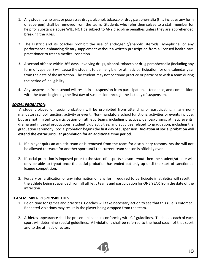- 1. Any student who uses or possesses drugs, alcohol, tobacco or drug paraphernalia (this includes any form of vape pen) shall be removed from the team. Students who refer themselves to a staff member for help for substance abuse WILL NOT be subject to ANY discipline penalties unless they are apprehended breaking the rules.
- 2. The District and its coaches prohibit the use of androgenic/anabolic steroids, synephrine, or any performance-enhancing dietary supplement without a written prescription from a licensed health care practitioner to treat a medical condition.
- 3. A second offense within 365 days, involving drugs, alcohol, tobacco or drug paraphernalia (including any form of vape pen) will cause the student to be ineligible for athletic participation for one calendar year from the date of the infraction. The student may not continue practice or participate with a team during the period of ineligibility.
- 4. Any suspension from school will result in a suspension from participation, attendance, and competition with the team beginning the first day of suspension through the last day of suspension.

#### *SOCIAL PROBATION*:

A student placed on social probation will be prohibited from attending or participating in any nonmandatory school function, activity or event. Non-mandatory school functions, activities or events include, but are not limited to participation on athletic teams including practices, dances/proms, athletic events, drama and musical productions, student club activities, and activities related to graduation, including the graduation ceremony. Social probation begins the first day of suspension. **Violation of social probation will extend the extracurricular prohibition for an additional time period**.

- 1. If a player quits an athletic team or is removed from the team for disciplinary reasons, he/she will not be allowed to tryout for another sport until the current team season is officially over.
- 2. If social probation is imposed prior to the start of a sports season tryout then the student/athlete will only be able to tryout once the social probation has ended but only up until the start of sanctioned league competition.
- 3. Forgery or falsification of any information on any form required to participate in athletics will result in the athlete being suspended from all athletic teams and participation for ONE YEAR from the date of the infraction.

#### **TEAM MEMBER RESPONSIBILITIES**

- 1. Be on time for games and practices. Coaches will take necessary action to see that this rule is enforced. Repeated violations may result in the player being dropped from the team.
- 2. Athletes appearance shall be presentable and in conformity with CIF guidelines. The head coach of each sport will determine special guidelines. All violations shall be referred to the head coach of that sport and to the athletic directors

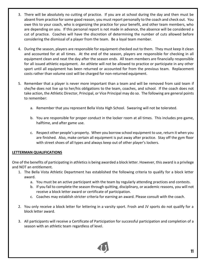- 3. There will be absolutely no cutting of practice. If you are at school during the day and then must be absent from practice for some good reason, you must report personally to the coach and check out. You owe this to your coach, who is organizing the practice for your benefit, and other team members, who are depending on you. If this personal report is not made in advance, the absence will be considered a cut of practice. Coaches will have the discretion of determining the number of cuts allowed before considering the dismissal of a player from the team. Be a loyal team member.
- 4. During the season, players are responsible for equipment checked out to them. They must keep it clean and accounted for at all times. At the end of the season, players are responsible for checking in all equipment clean and neat the day after the season ends. All team members are financially responsible for all issued athletic equipment. An athlete will not be allowed to practice or participate in any other sport until all equipment has been returned or accounted for from the previous team. Replacement costs rather than volume cost will be charged for non-returned equipment.
- 5. Remember that a player is never more important than a team and will be removed from said team if she/he does not live up to her/his obligations to the team, coaches, and school. If the coach does not take action, the Athletic Director, Principal, or Vice Principal may do so. The following are general points to remember:
	- a. Remember that you represent Bella Vista High School. Swearing will not be tolerated.
	- b. You are responsible for proper conduct in the locker room at all times. This includes pre-game, halftime, and after game use.
	- c. Respect other people's property. When you borrow school equipment to use, return it when you are finished. Also, make certain all equipment is put away after practice. Stay off the gym floor with street shoes of all types and always keep out of other player's lockers.

#### **LETTERMAN QUALIFICATIONS**

One of the benefits of participating in athletics is being awarded a block letter. However, this award is a privilege and NOT an entitlement.

- 1. The Bella Vista Athletic Department has established the following criteria to qualify for a block letter award.
	- a. You must be an active participant with the team by regularly attending practices and contests.
	- b. If you fail to complete the season through quitting, disciplinary, or academic reasons, you will not receive a block letter award or certificate of participation.
	- c. Coaches may establish stricter criteria for earning an award. Please consult with the coach.
- 2. You only receive a block letter for lettering in a varsity sport. Frosh and JV sports do not qualify for a block letter award.
- 3. All participants will receive a Certificate of Participation for successful participation and completion of a season with an athletic team regardless of level.

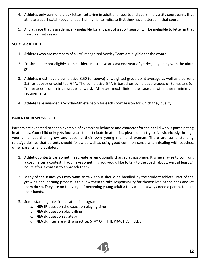- 4. Athletes only earn one block letter. Lettering in additional sports and years in a varsity sport earns that athlete a sport patch (boys) or sport pin (girls) to indicate that they have lettered in that sport.
- 5. Any athlete that is academically ineligible for any part of a sport season will be ineligible to letter in that sport for that season.

#### **SCHOLAR ATHLETE**

- 1. Athletes who are members of a CVC recognized Varsity Team are eligible for the award.
- 2. Freshmen are not eligible as the athlete must have at least one year of grades, beginning with the ninth grade.
- 3. Athletes must have a cumulative 3.50 (or above) unweighted grade point average as well as a current 3.5 (or above) unweighted GPA. The cumulative GPA is based on cumulative grades of Semesters (or Trimesters) from ninth grade onward. Athletes must finish the season with these minimum requirements.
- 4. Athletes are awarded a Scholar-Athlete patch for each sport season for which they qualify.

#### **PARENTAL RESPONSIBILITIES**

Parents are expected to set an example of exemplary behavior and character for their child who is participating in athletics. Your child only gets four years to participate in athletics, please don't try to live vicariously through your child. Let them grow and become their own young man and woman. There are some standing rules/guidelines that parents should follow as well as using good common sense when dealing with coaches, other parents, and athletes.

- 1. Athletic contests can sometimes create an emotionally charged atmosphere. It is never wise to confront a coach after a contest. If you have something you would like to talk to the coach about, wait at least 24 hours after a contest to approach them.
- 2. Many of the issues you may want to talk about should be handled by the student athlete. Part of the growing and learning process is to allow them to take responsibility for themselves. Stand back and let them do so. They are on the verge of becoming young adults; they do not always need a parent to hold their hands.
- 3. Some standing rules in this athletic program:
	- a. **NEVER** question the coach on playing time
	- b. **NEVER** question play calling
	- c. **NEVER** question strategy
	- d. **NEVER** interfere with a practice: STAY OFF THE PRACTICE FIELDS.

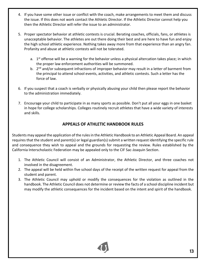- 4. If you have some other issue or conflict with the coach, make arrangements to meet them and discuss the issue. If this does not work contact the Athletic Director. If the Athletic Director cannot help you then the Athletic Director will refer the issue to an administrator.
- 5. Proper spectator behavior at athletic contests is crucial. Berating coaches, officials, fans, or athletes is unacceptable behavior. The athletes are out there doing their best and are here to have fun and enjoy the high school athletic experience. Nothing takes away more from that experience than an angry fan. Profanity and abuse at athletic contests will not be tolerated.
	- a. 1<sup>st</sup> offense will be a warning for the behavior unless a physical altercation takes place; in which the proper law enforcement authorities will be summoned.
	- b. 2<sup>nd</sup> and/or subsequent infractions of improper behavior may result in a letter of barment from the principal to attend school events, activities, and athletic contests. Such a letter has the force of law.
- 6. If you suspect that a coach is verbally or physically abusing your child then please report the behavior to the administration immediately.
- 7. Encourage your child to participate in as many sports as possible. Don't put all your eggs in one basket in hope for college scholarships. Colleges routinely recruit athletes that have a wide variety of interests and skills.

#### **APPEALS OF ATHLETIC HANDBOOK RULES**

Students may appeal the application of the rules in the Athletic Handbook to an Athletic Appeal Board. An appeal requires that the student and parent(s) or legal guardian(s) submit a written request identifying the specific rule and consequence they wish to appeal and the grounds for requesting the review. Rules established by the California Interscholastic Federation may be appealed only to the CIF Sac-Joaquin Section.

- 1. The Athletic Council will consist of an Administrator, the Athletic Director, and three coaches not involved in the disagreement.
- 2. The appeal will be held within five school days of the receipt of the written request for appeal from the student and parent.
- 3. The Athletic Council may uphold or modify the consequences for the violation as outlined in the handbook. The Athletic Council does not determine or review the facts of a school discipline incident but may modify the athletic consequences for the incident based on the intent and spirit of the handbook.